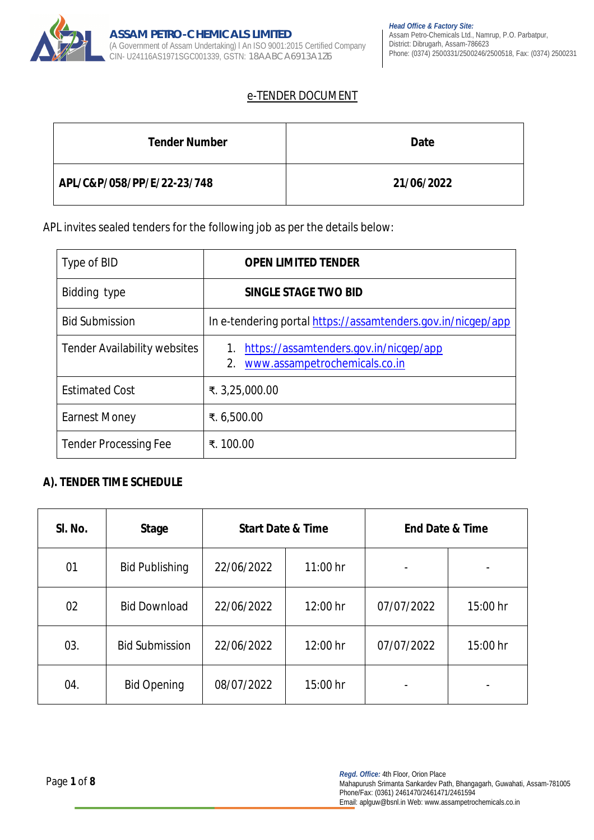

# e-TENDER DOCUMENT

| <b>Tender Number</b>       | <b>Date</b> |
|----------------------------|-------------|
| APL/C&P/058/PP/E/22-23/748 | 21/06/2022  |

APL invites sealed tenders for the following job as per the details below:

| Type of BID                         | <b>OPEN LIMITED TENDER</b>                                                    |
|-------------------------------------|-------------------------------------------------------------------------------|
| Bidding type                        | <b>SINGLE STAGE TWO BID</b>                                                   |
| <b>Bid Submission</b>               | In e-tendering portal https://assamtenders.gov.in/nicgep/app                  |
| <b>Tender Availability websites</b> | https://assamtenders.gov.in/nicgep/app<br>2.<br>www.assampetrochemicals.co.in |
| <b>Estimated Cost</b>               | ₹. 3,25,000.00                                                                |
| <b>Earnest Money</b>                | ₹. 6,500.00                                                                   |
| <b>Tender Processing Fee</b>        | ₹. 100.00                                                                     |

# **A). TENDER TIME SCHEDULE**

| SI. No. | <b>Stage</b>          | <b>Start Date &amp; Time</b> |            | <b>End Date &amp; Time</b> |                          |
|---------|-----------------------|------------------------------|------------|----------------------------|--------------------------|
| 01      | <b>Bid Publishing</b> | 22/06/2022                   | $11:00$ hr |                            |                          |
| 02      | <b>Bid Download</b>   | 22/06/2022                   | 12:00 hr   | 07/07/2022                 | 15:00 hr                 |
| 03.     | <b>Bid Submission</b> | 22/06/2022                   | 12:00 hr   | 07/07/2022                 | 15:00 hr                 |
| 04.     | <b>Bid Opening</b>    | 08/07/2022                   | 15:00 hr   |                            | $\overline{\phantom{0}}$ |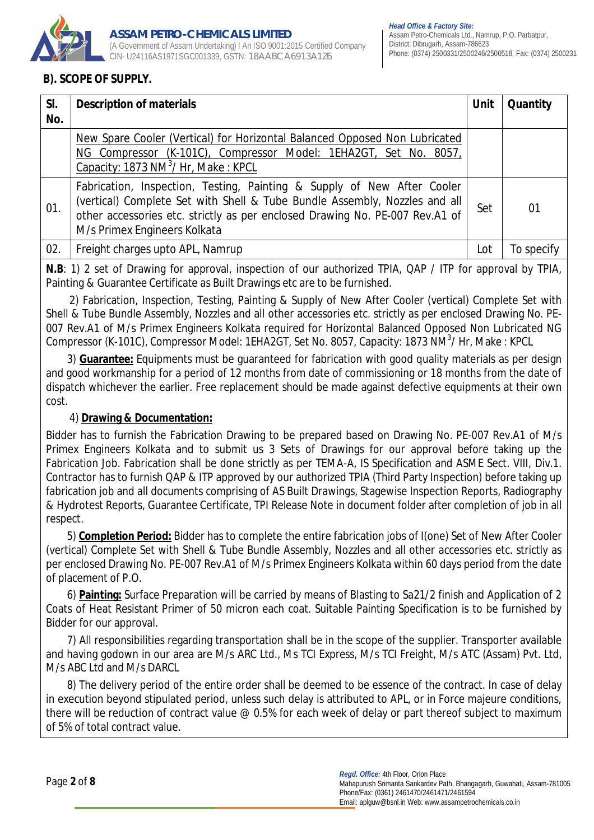

# **B). SCOPE OF SUPPLY.**

| SI.<br>No. | <b>Description of materials</b>                                                                                                                                                                                                                                       | <b>Unit</b> | <b>Quantity</b> |
|------------|-----------------------------------------------------------------------------------------------------------------------------------------------------------------------------------------------------------------------------------------------------------------------|-------------|-----------------|
|            | New Spare Cooler (Vertical) for Horizontal Balanced Opposed Non Lubricated<br>NG Compressor (K-101C), Compressor Model: 1EHA2GT, Set No. 8057,<br>Capacity: 1873 NM <sup>3</sup> / Hr, Make: KPCL                                                                     |             |                 |
| 01.        | Fabrication, Inspection, Testing, Painting & Supply of New After Cooler<br>(vertical) Complete Set with Shell & Tube Bundle Assembly, Nozzles and all<br>other accessories etc. strictly as per enclosed Drawing No. PE-007 Rev.A1 of<br>M/s Primex Engineers Kolkata | Set         | 01              |
| 02.        | Freight charges upto APL, Namrup                                                                                                                                                                                                                                      | Lot         | To specify      |

**N.B**: 1) 2 set of Drawing for approval, inspection of our authorized TPIA, QAP / ITP for approval by TPIA, Painting & Guarantee Certificate as Built Drawings etc are to be furnished.

 2) Fabrication, Inspection, Testing, Painting & Supply of New After Cooler (vertical) Complete Set with Shell & Tube Bundle Assembly, Nozzles and all other accessories etc. strictly as per enclosed Drawing No. PE-007 Rev.A1 of M/s Primex Engineers Kolkata required for Horizontal Balanced Opposed Non Lubricated NG Compressor (K-101C), Compressor Model: 1EHA2GT, Set No. 8057, Capacity: 1873 NM<sup>3</sup>/ Hr, Make : KPCL

 3) **Guarantee:** Equipments must be guaranteed for fabrication with good quality materials as per design and good workmanship for a period of 12 months from date of commissioning or 18 months from the date of dispatch whichever the earlier. Free replacement should be made against defective equipments at their own cost.

# 4) **Drawing & Documentation:**

Bidder has to furnish the Fabrication Drawing to be prepared based on Drawing No. PE-007 Rev.A1 of M/s Primex Engineers Kolkata and to submit us 3 Sets of Drawings for our approval before taking up the Fabrication Job. Fabrication shall be done strictly as per TEMA-A, IS Specification and ASME Sect. VIII, Div.1. Contractor has to furnish QAP & ITP approved by our authorized TPIA (Third Party Inspection) before taking up fabrication job and all documents comprising of AS Built Drawings, Stagewise Inspection Reports, Radiography & Hydrotest Reports, Guarantee Certificate, TPI Release Note in document folder after completion of job in all respect.

 5) **Completion Period:** Bidder has to complete the entire fabrication jobs of I(one) Set of New After Cooler (vertical) Complete Set with Shell & Tube Bundle Assembly, Nozzles and all other accessories etc. strictly as per enclosed Drawing No. PE-007 Rev.A1 of M/s Primex Engineers Kolkata within 60 days period from the date of placement of P.O.

 6) **Painting:** Surface Preparation will be carried by means of Blasting to Sa21/2 finish and Application of 2 Coats of Heat Resistant Primer of 50 micron each coat. Suitable Painting Specification is to be furnished by Bidder for our approval.

 7) All responsibilities regarding transportation shall be in the scope of the supplier. Transporter available and having godown in our area are M/s ARC Ltd., Ms TCI Express, M/s TCI Freight, M/s ATC (Assam) Pvt. Ltd, M/s ABC Ltd and M/s DARCL

 8) The delivery period of the entire order shall be deemed to be essence of the contract. In case of delay in execution beyond stipulated period, unless such delay is attributed to APL, or in Force majeure conditions, there will be reduction of contract value @ 0.5% for each week of delay or part thereof subject to maximum of 5% of total contract value.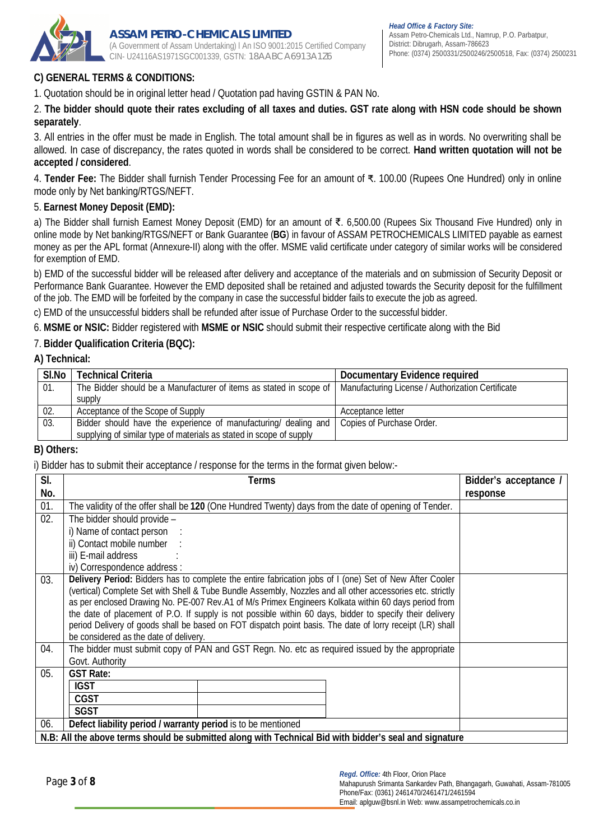

# **C) GENERAL TERMS & CONDITIONS:**

1. Quotation should be in original letter head / Quotation pad having GSTIN & PAN No.

### 2. **The bidder should quote their rates excluding of all taxes and duties. GST rate along with HSN code should be shown separately**.

3. All entries in the offer must be made in English. The total amount shall be in figures as well as in words. No overwriting shall be allowed. In case of discrepancy, the rates quoted in words shall be considered to be correct. **Hand written quotation will not be accepted / considered**.

4. **Tender Fee:** The Bidder shall furnish Tender Processing Fee for an amount of ₹. 100.00 (Rupees One Hundred) only in online mode only by Net banking/RTGS/NEFT.

## 5. **Earnest Money Deposit (EMD):**

a) The Bidder shall furnish Earnest Money Deposit (EMD) for an amount of ₹. 6,500.00 (Rupees Six Thousand Five Hundred) only in online mode by Net banking/RTGS/NEFT or Bank Guarantee (**BG**) in favour of ASSAM PETROCHEMICALS LIMITED payable as earnest money as per the APL format (Annexure-II) along with the offer. MSME valid certificate under category of similar works will be considered for exemption of EMD.

b) EMD of the successful bidder will be released after delivery and acceptance of the materials and on submission of Security Deposit or Performance Bank Guarantee. However the EMD deposited shall be retained and adjusted towards the Security deposit for the fulfillment of the job. The EMD will be forfeited by the company in case the successful bidder fails to execute the job as agreed.

c) EMD of the unsuccessful bidders shall be refunded after issue of Purchase Order to the successful bidder.

6. **MSME or NSIC:** Bidder registered with **MSME or NSIC** should submit their respective certificate along with the Bid

## 7. **Bidder Qualification Criteria (BQC):**

#### **A) Technical:**

| SI.No | <b>Technical Criteria</b>                                           | Documentary Evidence required                     |
|-------|---------------------------------------------------------------------|---------------------------------------------------|
| 01.   | The Bidder should be a Manufacturer of items as stated in scope of  | Manufacturing License / Authorization Certificate |
|       | supply                                                              |                                                   |
| 02.   | Acceptance of the Scope of Supply                                   | Acceptance letter                                 |
| 03.   | Bidder should have the experience of manufacturing/ dealing and     | Copies of Purchase Order.                         |
|       | supplying of similar type of materials as stated in scope of supply |                                                   |

#### **B) Others:**

i) Bidder has to submit their acceptance / response for the terms in the format given below:-

| SI.<br>No. | Terms                                                                                                                                                                                                                                                                                                                                                                                                                                                                                                                                                                                                   | Bidder's acceptance /<br>response |  |  |  |
|------------|---------------------------------------------------------------------------------------------------------------------------------------------------------------------------------------------------------------------------------------------------------------------------------------------------------------------------------------------------------------------------------------------------------------------------------------------------------------------------------------------------------------------------------------------------------------------------------------------------------|-----------------------------------|--|--|--|
| 01.        | The validity of the offer shall be 120 (One Hundred Twenty) days from the date of opening of Tender.                                                                                                                                                                                                                                                                                                                                                                                                                                                                                                    |                                   |  |  |  |
| 02.        | The bidder should provide -                                                                                                                                                                                                                                                                                                                                                                                                                                                                                                                                                                             |                                   |  |  |  |
|            | i) Name of contact person                                                                                                                                                                                                                                                                                                                                                                                                                                                                                                                                                                               |                                   |  |  |  |
|            | ii) Contact mobile number                                                                                                                                                                                                                                                                                                                                                                                                                                                                                                                                                                               |                                   |  |  |  |
|            | iii) E-mail address                                                                                                                                                                                                                                                                                                                                                                                                                                                                                                                                                                                     |                                   |  |  |  |
|            | iv) Correspondence address :                                                                                                                                                                                                                                                                                                                                                                                                                                                                                                                                                                            |                                   |  |  |  |
| 03.        | <b>Delivery Period:</b> Bidders has to complete the entire fabrication jobs of I (one) Set of New After Cooler<br>(vertical) Complete Set with Shell & Tube Bundle Assembly, Nozzles and all other accessories etc. strictly<br>as per enclosed Drawing No. PE-007 Rev.A1 of M/s Primex Engineers Kolkata within 60 days period from<br>the date of placement of P.O. If supply is not possible within 60 days, bidder to specify their delivery<br>period Delivery of goods shall be based on FOT dispatch point basis. The date of lorry receipt (LR) shall<br>be considered as the date of delivery. |                                   |  |  |  |
| 04.        | The bidder must submit copy of PAN and GST Regn. No. etc as required issued by the appropriate                                                                                                                                                                                                                                                                                                                                                                                                                                                                                                          |                                   |  |  |  |
|            | Govt. Authority                                                                                                                                                                                                                                                                                                                                                                                                                                                                                                                                                                                         |                                   |  |  |  |
| 05.        | <b>GST Rate:</b>                                                                                                                                                                                                                                                                                                                                                                                                                                                                                                                                                                                        |                                   |  |  |  |
|            | <b>IGST</b>                                                                                                                                                                                                                                                                                                                                                                                                                                                                                                                                                                                             |                                   |  |  |  |
|            | <b>CGST</b>                                                                                                                                                                                                                                                                                                                                                                                                                                                                                                                                                                                             |                                   |  |  |  |
|            | <b>SGST</b><br>Defect liability period / warranty period is to be mentioned                                                                                                                                                                                                                                                                                                                                                                                                                                                                                                                             |                                   |  |  |  |
| 06.        |                                                                                                                                                                                                                                                                                                                                                                                                                                                                                                                                                                                                         |                                   |  |  |  |
|            | N.B: All the above terms should be submitted along with Technical Bid with bidder's seal and signature                                                                                                                                                                                                                                                                                                                                                                                                                                                                                                  |                                   |  |  |  |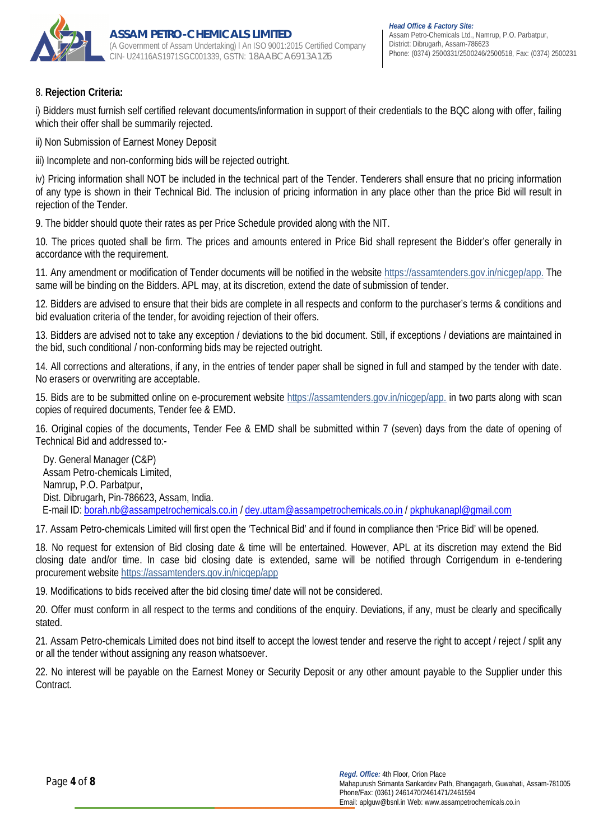

## 8. **Rejection Criteria:**

i) Bidders must furnish self certified relevant documents/information in support of their credentials to the BQC along with offer, failing which their offer shall be summarily rejected.

ii) Non Submission of Earnest Money Deposit

iii) Incomplete and non-conforming bids will be rejected outright.

iv) Pricing information shall NOT be included in the technical part of the Tender. Tenderers shall ensure that no pricing information of any type is shown in their Technical Bid. The inclusion of pricing information in any place other than the price Bid will result in rejection of the Tender.

9. The bidder should quote their rates as per Price Schedule provided along with the NIT.

10. The prices quoted shall be firm. The prices and amounts entered in Price Bid shall represent the Bidder's offer generally in accordance with the requirement.

11. Any amendment or modification of Tender documents will be notified in the website https://assamtenders.gov.in/nicgep/app. The same will be binding on the Bidders. APL may, at its discretion, extend the date of submission of tender.

12. Bidders are advised to ensure that their bids are complete in all respects and conform to the purchaser's terms & conditions and bid evaluation criteria of the tender, for avoiding rejection of their offers.

13. Bidders are advised not to take any exception / deviations to the bid document. Still, if exceptions / deviations are maintained in the bid, such conditional / non-conforming bids may be rejected outright.

14. All corrections and alterations, if any, in the entries of tender paper shall be signed in full and stamped by the tender with date. No erasers or overwriting are acceptable.

15. Bids are to be submitted online on e-procurement website https://assamtenders.gov.in/nicgep/app. in two parts along with scan copies of required documents, Tender fee & EMD.

16. Original copies of the documents, Tender Fee & EMD shall be submitted within 7 (seven) days from the date of opening of Technical Bid and addressed to:-

Dy. General Manager (C&P) Assam Petro-chemicals Limited, Namrup, P.O. Parbatpur, Dist. Dibrugarh, Pin-786623, Assam, India. E-mail ID: borah.nb@assampetrochemicals.co.in / dey.uttam@assampetrochemicals.co.in / pkphukanapl@gmail.com

17. Assam Petro-chemicals Limited will first open the 'Technical Bid' and if found in compliance then 'Price Bid' will be opened.

18. No request for extension of Bid closing date & time will be entertained. However, APL at its discretion may extend the Bid closing date and/or time. In case bid closing date is extended, same will be notified through Corrigendum in e-tendering procurement website https://assamtenders.gov.in/nicgep/app

19. Modifications to bids received after the bid closing time/ date will not be considered.

20. Offer must conform in all respect to the terms and conditions of the enquiry. Deviations, if any, must be clearly and specifically stated.

21. Assam Petro-chemicals Limited does not bind itself to accept the lowest tender and reserve the right to accept / reject / split any or all the tender without assigning any reason whatsoever.

22. No interest will be payable on the Earnest Money or Security Deposit or any other amount payable to the Supplier under this **Contract**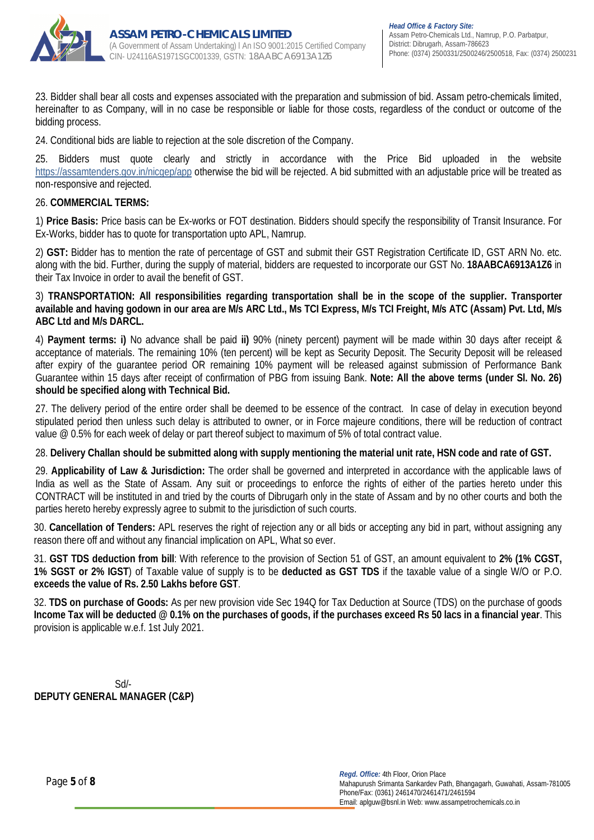

23. Bidder shall bear all costs and expenses associated with the preparation and submission of bid. Assam petro-chemicals limited, hereinafter to as Company, will in no case be responsible or liable for those costs, regardless of the conduct or outcome of the bidding process.

24. Conditional bids are liable to rejection at the sole discretion of the Company.

25. Bidders must quote clearly and strictly in accordance with the Price Bid uploaded in the website https://assamtenders.gov.in/nicgep/app otherwise the bid will be rejected. A bid submitted with an adjustable price will be treated as non-responsive and rejected.

## 26. **COMMERCIAL TERMS:**

1) **Price Basis:** Price basis can be Ex-works or FOT destination. Bidders should specify the responsibility of Transit Insurance. For Ex-Works, bidder has to quote for transportation upto APL, Namrup.

2) **GST:** Bidder has to mention the rate of percentage of GST and submit their GST Registration Certificate ID, GST ARN No. etc. along with the bid. Further, during the supply of material, bidders are requested to incorporate our GST No. **18AABCA6913A1Z6** in their Tax Invoice in order to avail the benefit of GST.

3) **TRANSPORTATION: All responsibilities regarding transportation shall be in the scope of the supplier. Transporter available and having godown in our area are M/s ARC Ltd., Ms TCI Express, M/s TCI Freight, M/s ATC (Assam) Pvt. Ltd, M/s ABC Ltd and M/s DARCL.**

4) **Payment terms: i)** No advance shall be paid **ii)** 90% (ninety percent) payment will be made within 30 days after receipt & acceptance of materials. The remaining 10% (ten percent) will be kept as Security Deposit. The Security Deposit will be released after expiry of the guarantee period OR remaining 10% payment will be released against submission of Performance Bank Guarantee within 15 days after receipt of confirmation of PBG from issuing Bank. **Note: All the above terms (under Sl. No. 26) should be specified along with Technical Bid.**

27. The delivery period of the entire order shall be deemed to be essence of the contract. In case of delay in execution beyond stipulated period then unless such delay is attributed to owner, or in Force majeure conditions, there will be reduction of contract value @ 0.5% for each week of delay or part thereof subject to maximum of 5% of total contract value.

## 28. **Delivery Challan should be submitted along with supply mentioning the material unit rate, HSN code and rate of GST.**

29. **Applicability of Law & Jurisdiction:** The order shall be governed and interpreted in accordance with the applicable laws of India as well as the State of Assam. Any suit or proceedings to enforce the rights of either of the parties hereto under this CONTRACT will be instituted in and tried by the courts of Dibrugarh only in the state of Assam and by no other courts and both the parties hereto hereby expressly agree to submit to the jurisdiction of such courts.

30. **Cancellation of Tenders:** APL reserves the right of rejection any or all bids or accepting any bid in part, without assigning any reason there off and without any financial implication on APL, What so ever.

31. **GST TDS deduction from bill**: With reference to the provision of Section 51 of GST, an amount equivalent to **2% (1% CGST, 1% SGST or 2% IGST**) of Taxable value of supply is to be **deducted as GST TDS** if the taxable value of a single W/O or P.O. **exceeds the value of Rs. 2.50 Lakhs before GST**.

32. **TDS on purchase of Goods:** As per new provision vide Sec 194Q for Tax Deduction at Source (TDS) on the purchase of goods **Income Tax will be deducted @ 0.1% on the purchases of goods, if the purchases exceed Rs 50 lacs in a financial year**. This provision is applicable w.e.f. 1st July 2021.

Sd/- **DEPUTY GENERAL MANAGER (C&P)**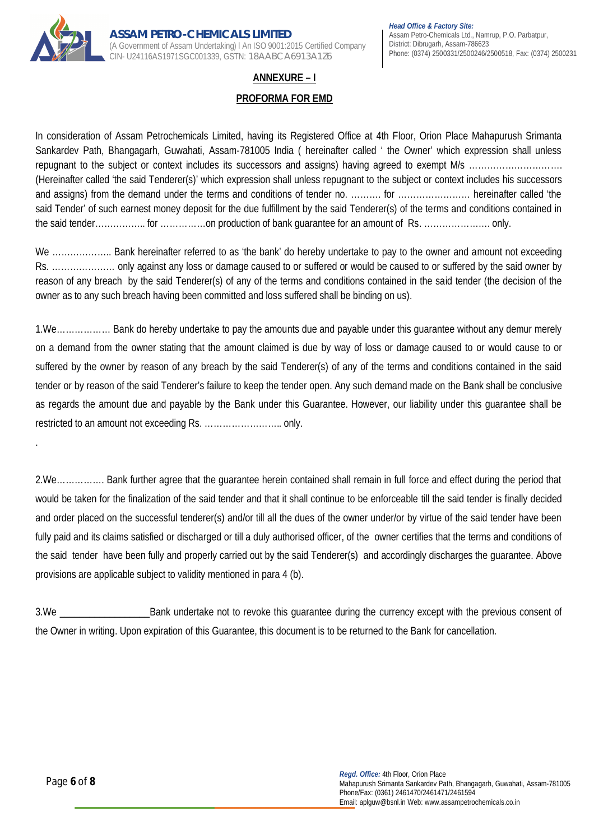

## **ANNEXURE – I**

### **PROFORMA FOR EMD**

In consideration of Assam Petrochemicals Limited, having its Registered Office at 4th Floor, Orion Place Mahapurush Srimanta Sankardev Path, Bhangagarh, Guwahati, Assam-781005 India ( hereinafter called ' the Owner' which expression shall unless repugnant to the subject or context includes its successors and assigns) having agreed to exempt M/s …………………………… (Hereinafter called 'the said Tenderer(s)' which expression shall unless repugnant to the subject or context includes his successors and assigns) from the demand under the terms and conditions of tender no. ………. for …………………… hereinafter called 'the said Tender' of such earnest money deposit for the due fulfillment by the said Tenderer(s) of the terms and conditions contained in the said tender…………….. for ……………on production of bank guarantee for an amount of Rs. …………………. only.

We ........................... Bank hereinafter referred to as 'the bank' do hereby undertake to pay to the owner and amount not exceeding Rs. ………………… only against any loss or damage caused to or suffered or would be caused to or suffered by the said owner by reason of any breach by the said Tenderer(s) of any of the terms and conditions contained in the said tender (the decision of the owner as to any such breach having been committed and loss suffered shall be binding on us).

1.We……………… Bank do hereby undertake to pay the amounts due and payable under this guarantee without any demur merely on a demand from the owner stating that the amount claimed is due by way of loss or damage caused to or would cause to or suffered by the owner by reason of any breach by the said Tenderer(s) of any of the terms and conditions contained in the said tender or by reason of the said Tenderer's failure to keep the tender open. Any such demand made on the Bank shall be conclusive as regards the amount due and payable by the Bank under this Guarantee. However, our liability under this guarantee shall be restricted to an amount not exceeding Rs. …………………….. only.

2.We……………. Bank further agree that the guarantee herein contained shall remain in full force and effect during the period that would be taken for the finalization of the said tender and that it shall continue to be enforceable till the said tender is finally decided and order placed on the successful tenderer(s) and/or till all the dues of the owner under/or by virtue of the said tender have been fully paid and its claims satisfied or discharged or till a duly authorised officer, of the owner certifies that the terms and conditions of the said tender have been fully and properly carried out by the said Tenderer(s) and accordingly discharges the guarantee. Above provisions are applicable subject to validity mentioned in para 4 (b).

3.We \_\_\_\_\_\_\_\_\_\_\_\_\_\_\_\_\_\_Bank undertake not to revoke this guarantee during the currency except with the previous consent of the Owner in writing. Upon expiration of this Guarantee, this document is to be returned to the Bank for cancellation.

.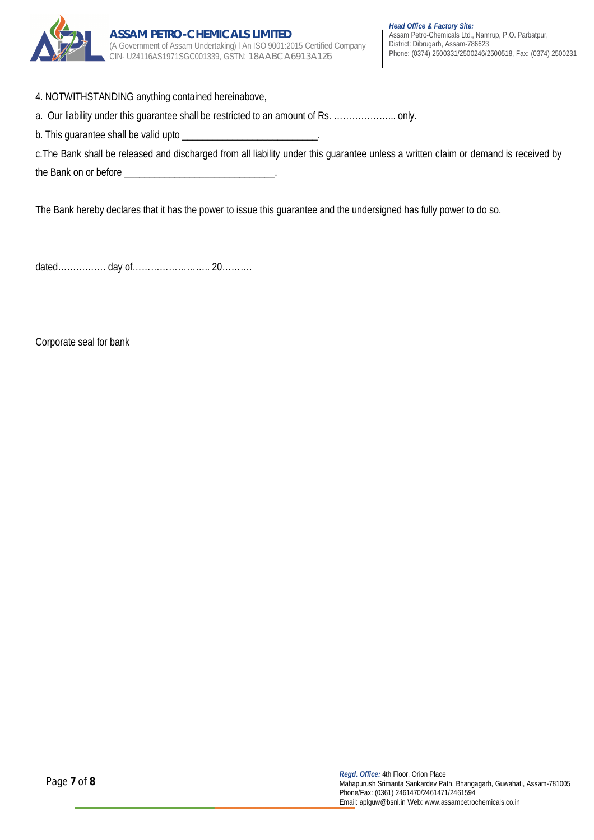

- 4. NOTWITHSTANDING anything contained hereinabove,
- a. Our liability under this guarantee shall be restricted to an amount of Rs. ………………... only.
- b. This guarantee shall be valid upto \_

|                       | c. The Bank shall be released and discharged from all liability under this guarantee unless a written claim or demand is received by |  |  |
|-----------------------|--------------------------------------------------------------------------------------------------------------------------------------|--|--|
| the Bank on or before |                                                                                                                                      |  |  |

The Bank hereby declares that it has the power to issue this guarantee and the undersigned has fully power to do so.

dated……………. day of…………………….. 20……….

Corporate seal for bank